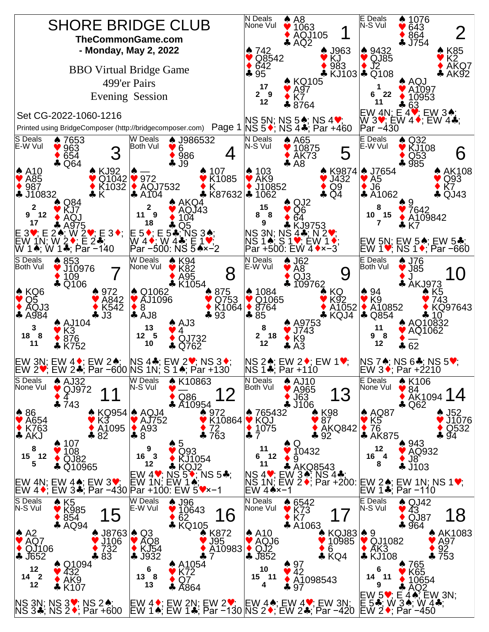